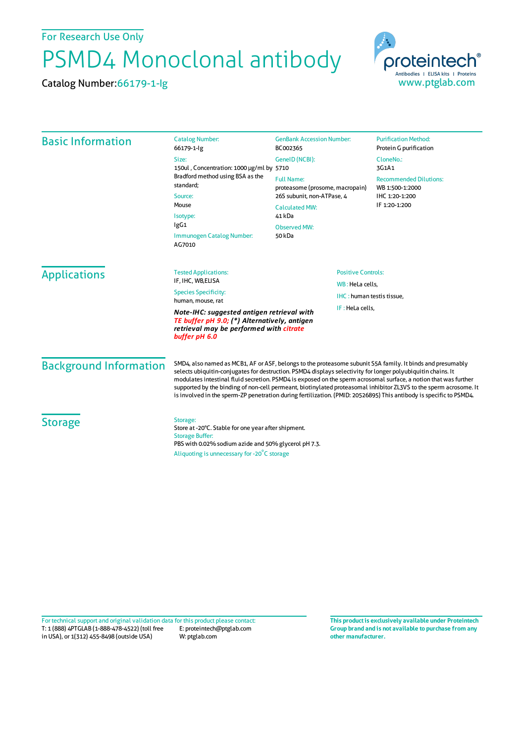For Research Use Only

## PSMD4 Monoclonal antibody

Catalog Number:66179-1-Ig



| <b>Basic Information</b>                                                                                                                               | <b>Catalog Number:</b><br>66179-1-lg                                                                                                                                                                                                                                                                                                                                                                                                                                                                                                                                                      | <b>GenBank Accession Number:</b><br>BC002365                                                                                                 | <b>Purification Method:</b><br>Protein G purification                               |                     |                                                          |        |  |
|--------------------------------------------------------------------------------------------------------------------------------------------------------|-------------------------------------------------------------------------------------------------------------------------------------------------------------------------------------------------------------------------------------------------------------------------------------------------------------------------------------------------------------------------------------------------------------------------------------------------------------------------------------------------------------------------------------------------------------------------------------------|----------------------------------------------------------------------------------------------------------------------------------------------|-------------------------------------------------------------------------------------|---------------------|----------------------------------------------------------|--------|--|
|                                                                                                                                                        | Size:<br>150ul, Concentration: 1000 µg/ml by 5710<br>Bradford method using BSA as the<br>standard;<br>Source:<br>Mouse<br>Isotype:<br>lgG1                                                                                                                                                                                                                                                                                                                                                                                                                                                | GeneID (NCBI):                                                                                                                               | CloneNo.:<br>3G1A1                                                                  |                     |                                                          |        |  |
|                                                                                                                                                        |                                                                                                                                                                                                                                                                                                                                                                                                                                                                                                                                                                                           | <b>Full Name:</b><br>proteasome (prosome, macropain)<br>26S subunit, non-ATPase, 4<br><b>Calculated MW:</b><br>41 kDa<br><b>Observed MW:</b> | <b>Recommended Dilutions:</b><br>WB 1:500-1:2000<br>IHC 1:20-1:200<br>IF 1:20-1:200 |                     |                                                          |        |  |
|                                                                                                                                                        |                                                                                                                                                                                                                                                                                                                                                                                                                                                                                                                                                                                           |                                                                                                                                              |                                                                                     |                     | Immunogen Catalog Number:<br>AG7010                      | 50 kDa |  |
|                                                                                                                                                        |                                                                                                                                                                                                                                                                                                                                                                                                                                                                                                                                                                                           |                                                                                                                                              |                                                                                     | <b>Applications</b> | <b>Positive Controls:</b><br><b>Tested Applications:</b> |        |  |
| IF, IHC, WB, ELISA<br><b>Species Specificity:</b><br>human, mouse, rat                                                                                 | WB: HeLa cells,                                                                                                                                                                                                                                                                                                                                                                                                                                                                                                                                                                           |                                                                                                                                              |                                                                                     |                     |                                                          |        |  |
|                                                                                                                                                        | IHC: human testis tissue,<br>IF: HeLa cells.                                                                                                                                                                                                                                                                                                                                                                                                                                                                                                                                              |                                                                                                                                              |                                                                                     |                     |                                                          |        |  |
| Note-IHC: suggested antigen retrieval with<br>TE buffer pH 9.0; (*) Alternatively, antigen<br>retrieval may be performed with citrate<br>buffer pH 6.0 |                                                                                                                                                                                                                                                                                                                                                                                                                                                                                                                                                                                           |                                                                                                                                              |                                                                                     |                     |                                                          |        |  |
| <b>Background Information</b>                                                                                                                          | SMD4, also named as MCB1, AF or ASF, belongs to the proteasome subunit S5A family. It binds and presumably<br>selects ubiquitin-conjugates for destruction. PSMD4 displays selectivity for longer polyubiquitin chains. It<br>modulates intestinal fluid secretion. PSMD4 is exposed on the sperm acrosomal surface, a notion that was further<br>supported by the binding of non-cell permeant, biotinylated proteasomal inhibitor ZL3VS to the sperm acrosome. It<br>is involved in the sperm-ZP penetration during fertilization. (PMID: 20526895) This antibody is specific to PSMD4. |                                                                                                                                              |                                                                                     |                     |                                                          |        |  |
| <b>Storage</b>                                                                                                                                         | Storage:<br>Store at -20°C. Stable for one year after shipment.<br><b>Storage Buffer:</b><br>PBS with 0.02% sodium azide and 50% glycerol pH 7.3.<br>Aliquoting is unnecessary for -20°C storage                                                                                                                                                                                                                                                                                                                                                                                          |                                                                                                                                              |                                                                                     |                     |                                                          |        |  |

T: 1 (888) 4PTGLAB (1-888-478-4522) (toll free in USA), or 1(312) 455-8498 (outside USA) E: proteintech@ptglab.com W: ptglab.com Fortechnical support and original validation data forthis product please contact: **This productis exclusively available under Proteintech**

**Group brand and is not available to purchase from any other manufacturer.**